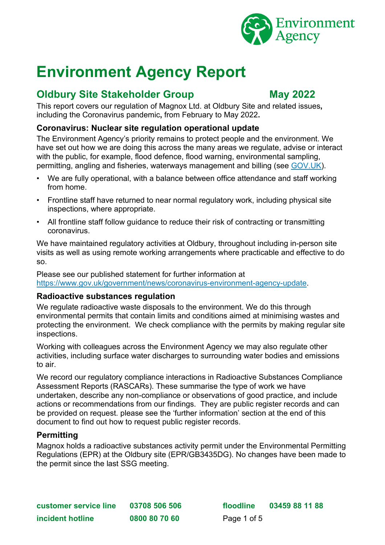

# **Environment Agency Report**

# **Oldbury Site Stakeholder Group May 2022**

This report covers our regulation of Magnox Ltd. at Oldbury Site and related issues**,** including the Coronavirus pandemic**,** from February to May 2022**.**

### **Coronavirus: Nuclear site regulation operational update**

The Environment Agency's priority remains to protect people and the environment. We have set out how we are doing this across the many areas we regulate, advise or interact with the public, for example, flood defence, flood warning, environmental sampling, permitting, angling and fisheries, waterways management and billing (see [GOV.UK\)](https://www.gov.uk/government/news/coronavirus-environment-agency-update).

- We are fully operational, with a balance between office attendance and staff working from home.
- Frontline staff have returned to near normal regulatory work, including physical site inspections, where appropriate.
- All frontline staff follow guidance to reduce their risk of contracting or transmitting coronavirus.

We have maintained regulatory activities at Oldbury, throughout including in-person site visits as well as using remote working arrangements where practicable and effective to do so.

Please see our published statement for further information at [https://www.gov.uk/government/news/coronavirus-environment-agency-update.](https://www.gov.uk/government/news/coronavirus-environment-agency-update)

#### **Radioactive substances regulation**

We regulate radioactive waste disposals to the environment. We do this through environmental permits that contain limits and conditions aimed at minimising wastes and protecting the environment. We check compliance with the permits by making regular site inspections.

Working with colleagues across the Environment Agency we may also regulate other activities, including surface water discharges to surrounding water bodies and emissions to air.

We record our regulatory compliance interactions in Radioactive Substances Compliance Assessment Reports (RASCARs). These summarise the type of work we have undertaken, describe any non-compliance or observations of good practice, and include actions or recommendations from our findings. They are public register records and can be provided on request. please see the 'further information' section at the end of this document to find out how to request public register records.

#### **Permitting**

Magnox holds a radioactive substances activity permit under the Environmental Permitting Regulations (EPR) at the Oldbury site (EPR/GB3435DG). No changes have been made to the permit since the last SSG meeting.

**customer service line 03708 506 506 floodline 03459 88 11 88 incident hotline 0800 80 70 60** Page 1 of 5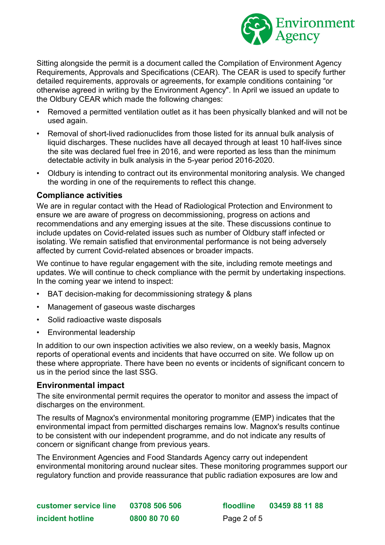

Sitting alongside the permit is a document called the Compilation of Environment Agency Requirements, Approvals and Specifications (CEAR). The CEAR is used to specify further detailed requirements, approvals or agreements, for example conditions containing "or otherwise agreed in writing by the Environment Agency". In April we issued an update to the Oldbury CEAR which made the following changes:

- Removed a permitted ventilation outlet as it has been physically blanked and will not be used again.
- Removal of short-lived radionuclides from those listed for its annual bulk analysis of liquid discharges. These nuclides have all decayed through at least 10 half-lives since the site was declared fuel free in 2016, and were reported as less than the minimum detectable activity in bulk analysis in the 5-year period 2016-2020.
- Oldbury is intending to contract out its environmental monitoring analysis. We changed the wording in one of the requirements to reflect this change.

#### **Compliance activities**

We are in regular contact with the Head of Radiological Protection and Environment to ensure we are aware of progress on decommissioning, progress on actions and recommendations and any emerging issues at the site. These discussions continue to include updates on Covid-related issues such as number of Oldbury staff infected or isolating. We remain satisfied that environmental performance is not being adversely affected by current Covid-related absences or broader impacts.

We continue to have regular engagement with the site, including remote meetings and updates. We will continue to check compliance with the permit by undertaking inspections. In the coming year we intend to inspect:

- BAT decision-making for decommissioning strategy & plans
- Management of gaseous waste discharges
- Solid radioactive waste disposals
- Environmental leadership

In addition to our own inspection activities we also review, on a weekly basis, Magnox reports of operational events and incidents that have occurred on site. We follow up on these where appropriate. There have been no events or incidents of significant concern to us in the period since the last SSG.

#### **Environmental impact**

The site environmental permit requires the operator to monitor and assess the impact of discharges on the environment.

The results of Magnox's environmental monitoring programme (EMP) indicates that the environmental impact from permitted discharges remains low. Magnox's results continue to be consistent with our independent programme, and do not indicate any results of concern or significant change from previous years.

The Environment Agencies and Food Standards Agency carry out independent environmental monitoring around nuclear sites. These monitoring programmes support our regulatory function and provide reassurance that public radiation exposures are low and

| customer service line | 03708 506 506 |
|-----------------------|---------------|
| incident hotline      | 0800 80 70 60 |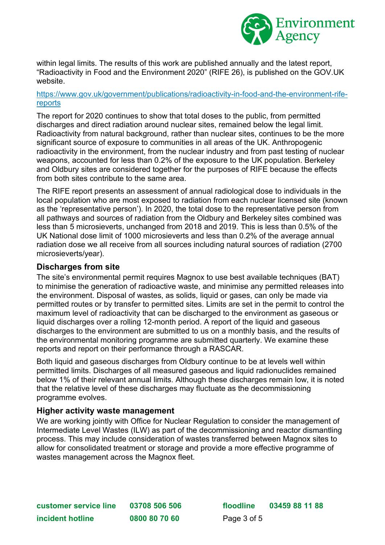

within legal limits. The results of this work are published annually and the latest report, "Radioactivity in Food and the Environment 2020" (RIFE 26), is published on the GOV.UK website.

#### [https://www.gov.uk/government/publications/radioactivity-in-food-and-the-environment-rife](https://www.gov.uk/government/publications/radioactivity-in-food-and-the-environment-rife-reports)[reports](https://www.gov.uk/government/publications/radioactivity-in-food-and-the-environment-rife-reports)

The report for 2020 continues to show that total doses to the public, from permitted discharges and direct radiation around nuclear sites, remained below the legal limit. Radioactivity from natural background, rather than nuclear sites, continues to be the more significant source of exposure to communities in all areas of the UK. Anthropogenic radioactivity in the environment, from the nuclear industry and from past testing of nuclear weapons, accounted for less than 0.2% of the exposure to the UK population. Berkeley and Oldbury sites are considered together for the purposes of RIFE because the effects from both sites contribute to the same area.

The RIFE report presents an assessment of annual radiological dose to individuals in the local population who are most exposed to radiation from each nuclear licensed site (known as the 'representative person'). In 2020, the total dose to the representative person from all pathways and sources of radiation from the Oldbury and Berkeley sites combined was less than 5 microsieverts, unchanged from 2018 and 2019. This is less than 0.5% of the UK National dose limit of 1000 microsieverts and less than 0.2% of the average annual radiation dose we all receive from all sources including natural sources of radiation (2700 microsieverts/year).

#### **Discharges from site**

The site's environmental permit requires Magnox to use best available techniques (BAT) to minimise the generation of radioactive waste, and minimise any permitted releases into the environment. Disposal of wastes, as solids, liquid or gases, can only be made via permitted routes or by transfer to permitted sites. Limits are set in the permit to control the maximum level of radioactivity that can be discharged to the environment as gaseous or liquid discharges over a rolling 12-month period. A report of the liquid and gaseous discharges to the environment are submitted to us on a monthly basis, and the results of the environmental monitoring programme are submitted quarterly. We examine these reports and report on their performance through a RASCAR.

Both liquid and gaseous discharges from Oldbury continue to be at levels well within permitted limits. Discharges of all measured gaseous and liquid radionuclides remained below 1% of their relevant annual limits. Although these discharges remain low, it is noted that the relative level of these discharges may fluctuate as the decommissioning programme evolves.

#### **Higher activity waste management**

We are working iointly with Office for Nuclear Regulation to consider the management of Intermediate Level Wastes (ILW) as part of the decommissioning and reactor dismantling process. This may include consideration of wastes transferred between Magnox sites to allow for consolidated treatment or storage and provide a more effective programme of wastes management across the Magnox fleet.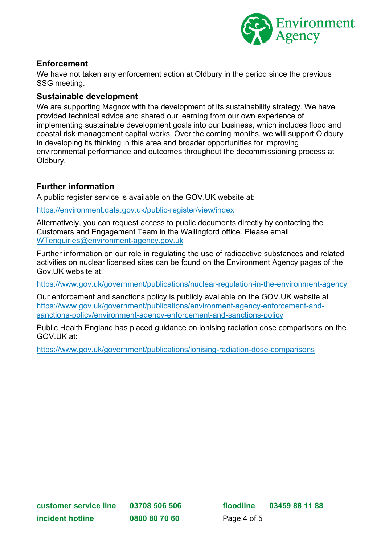

# **Enforcement**

We have not taken any enforcement action at Oldbury in the period since the previous SSG meeting.

## **Sustainable development**

We are supporting Magnox with the development of its sustainability strategy. We have provided technical advice and shared our learning from our own experience of implementing sustainable development goals into our business, which includes flood and coastal risk management capital works. Over the coming months, we will support Oldbury in developing its thinking in this area and broader opportunities for improving environmental performance and outcomes throughout the decommissioning process at Oldbury.

# **Further information**

A public register service is available on the GOV.UK website at:

<https://environment.data.gov.uk/public-register/view/index>

Alternatively, you can request access to public documents directly by contacting the Customers and Engagement Team in the Wallingford office. Please email [WTenquiries@environment-agency.gov.uk](mailto:WTenquiries@environment-agency.gov.uk)

Further information on our role in regulating the use of radioactive substances and related activities on nuclear licensed sites can be found on the Environment Agency pages of the Gov.UK website at:

<https://www.gov.uk/government/publications/nuclear-regulation-in-the-environment-agency>

Our enforcement and sanctions policy is publicly available on the GOV.UK website at [https://www.gov.uk/government/publications/environment-agency-enforcement-and](https://www.gov.uk/government/publications/environment-agency-enforcement-and-sanctions-policy/environment-agency-enforcement-and-sanctions-policy)[sanctions-policy/environment-agency-enforcement-and-sanctions-policy](https://www.gov.uk/government/publications/environment-agency-enforcement-and-sanctions-policy/environment-agency-enforcement-and-sanctions-policy)

Public Health England has placed guidance on ionising radiation dose comparisons on the GOV.UK at:

<https://www.gov.uk/government/publications/ionising-radiation-dose-comparisons>